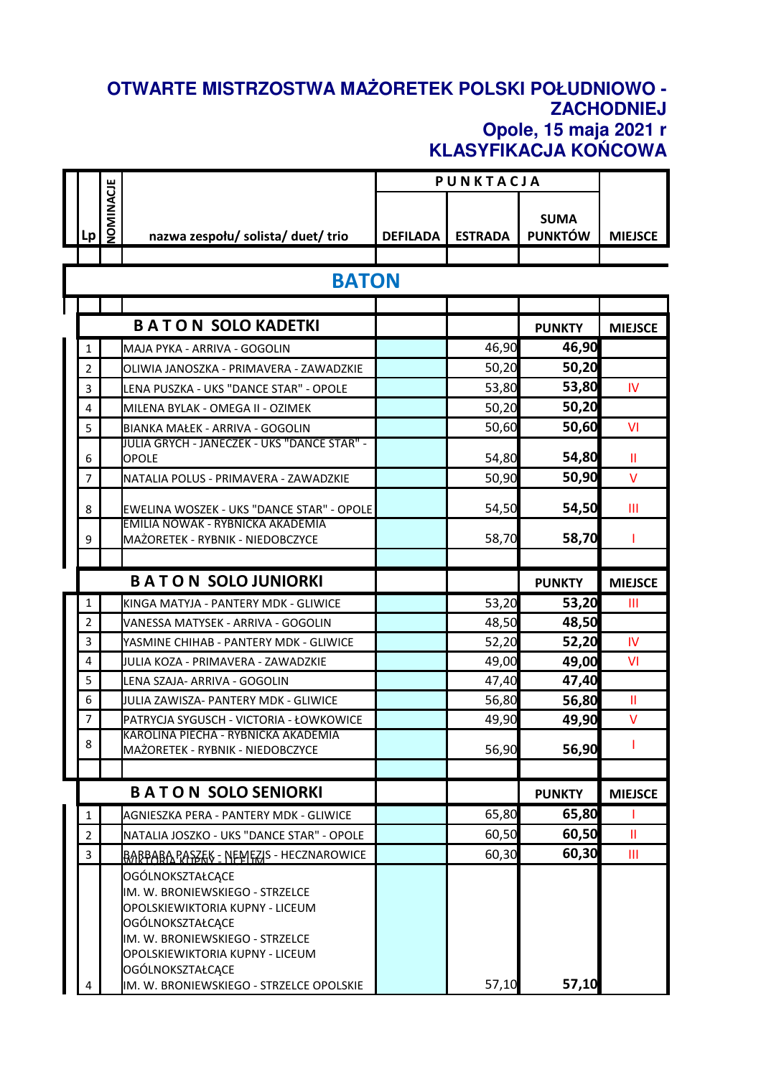## **OTWARTE MISTRZOSTWA MAŻORETEK POLSKI POŁUDNIOWO - ZACHODNIEJ Opole, 15 maja 2021 r KLASYFIKACJA KOŃCOWA**

|                |                  |                                                                                                                                                                                                      | PUNKTACJA       |                |                               |                |
|----------------|------------------|------------------------------------------------------------------------------------------------------------------------------------------------------------------------------------------------------|-----------------|----------------|-------------------------------|----------------|
| Lp             | <b>VOMINACJE</b> | nazwa zespołu/ solista/ duet/ trio                                                                                                                                                                   | <b>DEFILADA</b> | <b>ESTRADA</b> | <b>SUMA</b><br><b>PUNKTÓW</b> | <b>MIEJSCE</b> |
|                |                  |                                                                                                                                                                                                      |                 |                |                               |                |
|                |                  | <b>BATON</b>                                                                                                                                                                                         |                 |                |                               |                |
|                |                  |                                                                                                                                                                                                      |                 |                |                               |                |
|                |                  | <b>BATON SOLO KADETKI</b>                                                                                                                                                                            |                 |                | <b>PUNKTY</b>                 | <b>MIEJSCE</b> |
| 1              |                  | MAJA PYKA - ARRIVA - GOGOLIN                                                                                                                                                                         |                 | 46,90          | 46,90                         |                |
| $\overline{2}$ |                  | OLIWIA JANOSZKA - PRIMAVERA - ZAWADZKIE                                                                                                                                                              |                 | 50,20          | 50,20                         |                |
| 3              |                  | LENA PUSZKA - UKS "DANCE STAR" - OPOLE                                                                                                                                                               |                 | 53,80          | 53,80                         | IV             |
| 4              |                  | MILENA BYLAK - OMEGA II - OZIMEK                                                                                                                                                                     |                 | 50,20          | 50,20                         |                |
| 5              |                  | BIANKA MAŁEK - ARRIVA - GOGOLIN                                                                                                                                                                      |                 | 50,60          | 50,60                         | VI             |
| 6              |                  | JULIA GRYCH - JANECZEK - UKS "DANCE STAR" -<br>OPOLE                                                                                                                                                 |                 | 54,80          | 54,80                         | Ш              |
| 7              |                  | NATALIA POLUS - PRIMAVERA - ZAWADZKIE                                                                                                                                                                |                 | 50,90          | 50,90                         | $\vee$         |
| 8              |                  | EWELINA WOSZEK - UKS "DANCE STAR" - OPOLE                                                                                                                                                            |                 | 54,50          | 54,50                         | Ш              |
| 9              |                  | EMILIA NOWAK - RYBNICKA AKADEMIA<br>MAŻORETEK - RYBNIK - NIEDOBCZYCE                                                                                                                                 |                 | 58,70          | 58,70                         | 1              |
|                |                  |                                                                                                                                                                                                      |                 |                |                               |                |
|                |                  | <b>BATON SOLO JUNIORKI</b>                                                                                                                                                                           |                 |                | <b>PUNKTY</b>                 | <b>MIEJSCE</b> |
| 1              |                  | KINGA MATYJA - PANTERY MDK - GLIWICE                                                                                                                                                                 |                 | 53,20          | 53,20                         | Ш              |
| $\overline{2}$ |                  | VANESSA MATYSEK - ARRIVA - GOGOLIN                                                                                                                                                                   |                 | 48,50          | 48,50                         |                |
| 3              |                  | YASMINE CHIHAB - PANTERY MDK - GLIWICE                                                                                                                                                               |                 | 52,20          | 52,20                         | IV             |
| 4              |                  | JULIA KOZA - PRIMAVERA - ZAWADZKIE                                                                                                                                                                   |                 | 49,00          | 49,00                         | VI             |
| 5              |                  | LENA SZAJA- ARRIVA - GOGOLIN                                                                                                                                                                         |                 | 47,40          | 47,40                         |                |
| 6              |                  | JULIA ZAWISZA- PANTERY MDK - GLIWICE                                                                                                                                                                 |                 | 56,80          | 56,80                         | Ш              |
| $\overline{7}$ |                  | PATRYCJA SYGUSCH - VICTORIA - ŁOWKOWICE                                                                                                                                                              |                 | 49,90          | 49,90                         | $\vee$         |
| 8              |                  | KAROLINA PIECHA - RYBNICKA AKADEMIA<br>MAŻORETEK - RYBNIK - NIEDOBCZYCE                                                                                                                              |                 | 56,90          | 56,90                         |                |
|                |                  |                                                                                                                                                                                                      |                 |                |                               |                |
|                |                  | <b>BATON SOLO SENIORKI</b>                                                                                                                                                                           |                 |                | <b>PUNKTY</b>                 | <b>MIEJSCE</b> |
| $\mathbf{1}$   |                  | AGNIESZKA PERA - PANTERY MDK - GLIWICE                                                                                                                                                               |                 | 65,80          | 65,80                         | Ш              |
| $\overline{2}$ |                  | NATALIA JOSZKO - UKS "DANCE STAR" - OPOLE                                                                                                                                                            |                 | 60,50          | 60,50                         | Ш              |
| 3              |                  | <u> BABBABA PASZEK - NEMEZIS - HECZNAROWICE</u>                                                                                                                                                      |                 | 60,30          | 60,30                         | Ш              |
|                |                  | OGÓLNOKSZTAŁCĄCE<br>IM. W. BRONIEWSKIEGO - STRZELCE<br>OPOLSKIEWIKTORIA KUPNY - LICEUM<br>OGÓLNOKSZTAŁCĄCE<br>IM. W. BRONIEWSKIEGO - STRZELCE<br>OPOLSKIEWIKTORIA KUPNY - LICEUM<br>OGÓLNOKSZTAŁCĄCE |                 |                |                               |                |
|                |                  | IM. W. BRONIEWSKIEGO - STRZELCE OPOLSKIE                                                                                                                                                             |                 | 57,10          | 57,10                         |                |